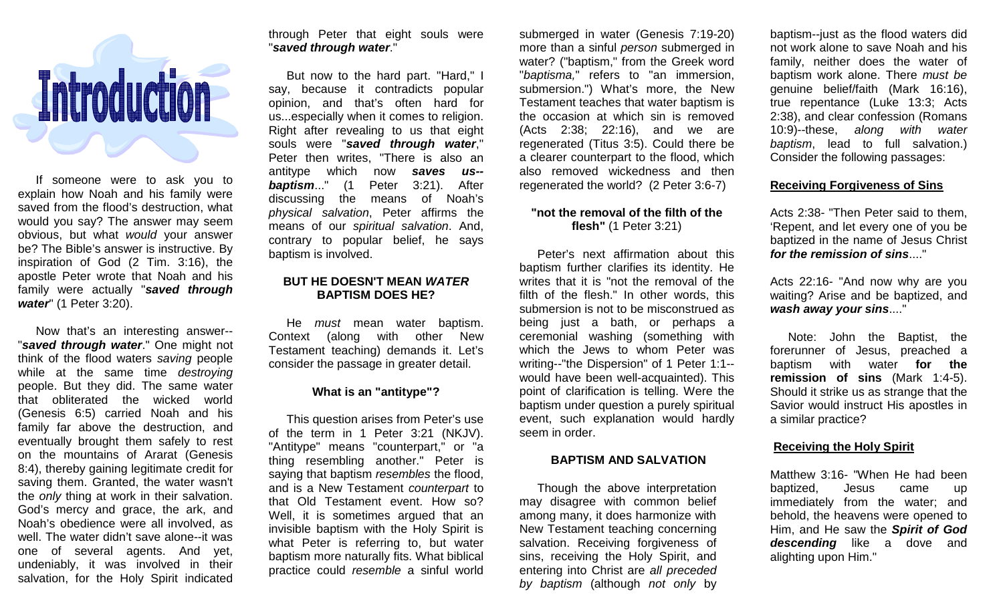

 If someone were to ask you to explain how Noah and his family were saved from the flood's destruction, what would you say? The answer may seem obvious, but what would your answer be? The Bible's answer is instructive. By inspiration of God (2 Tim. 3:16), the apostle Peter wrote that Noah and his family were actually "**saved through water**" (1 Peter 3:20).

Now that's an interesting answer-- "**saved through water**." One might not think of the flood waters saving people while at the same time destroying people. But they did. The same water that obliterated the wicked world (Genesis 6:5) carried Noah and his family far above the destruction, and eventually brought them safely to rest on the mountains of Ararat (Genesis 8:4), thereby gaining legitimate credit for saving them. Granted, the water wasn't the only thing at work in their salvation. God's mercy and grace, the ark, and Noah's obedience were all involved, as well. The water didn't save alone--it was one of several agents. And yet, undeniably, it was involved in their salvation, for the Holy Spirit indicated through Peter that eight souls were "**saved through water**."

 But now to the hard part. "Hard," I say, because it contradicts popular opinion, and that's often hard for us...especially when it comes to religion. Right after revealing to us that eight souls were "**saved through water**," Peter then writes, "There is also an antitype which now **saves us--**After **baptism..."** (1 Peter 3:21). discussing the means of Noah's physical salvation, Peter affirms the means of our spiritual salvation. And, contrary to popular belief, he says baptism is involved.

## **BUT HE DOESN'T MEAN WATERBAPTISM DOES HE?**

 He must mean water baptism. Context (along with other New Testament teaching) demands it. Let's consider the passage in greater detail.

## **What is an "antitype"?**

 This question arises from Peter's use of the term in 1 Peter 3:21 (NKJV). "Antitype" means "counterpart," or "a thing resembling another." Peter is saying that baptism resembles the flood, and is a New Testament counterpart to that Old Testament event. How so? Well, it is sometimes argued that an invisible baptism with the Holy Spirit is what Peter is referring to, but water baptism more naturally fits. What biblical practice could resemble a sinful world submerged in water (Genesis 7:19-20) more than a sinful *person* submerged in water? ("baptism," from the Greek word "baptisma," refers to "an immersion, submersion.") What's more, the New Testament teaches that water baptism is the occasion at which sin is removed (Acts 2:38; 22:16), and we are regenerated (Titus 3:5). Could there be a clearer counterpart to the flood, which also removed wickedness and then regenerated the world? (2 Peter 3:6-7)

# **"not the removal of the filth of the flesh"** (1 Peter 3:21)

 Peter's next affirmation about this baptism further clarifies its identity. He writes that it is "not the removal of the filth of the flesh." In other words, this submersion is not to be misconstrued as being just a bath, or perhaps a ceremonial washing (something with which the Jews to whom Peter was writing--"the Dispersion" of 1 Peter 1:1- would have been well-acquainted). This point of clarification is telling. Were the baptism under question a purely spiritual event, such explanation would hardly seem in order.

## **BAPTISM AND SALVATION**

 Though the above interpretation may disagree with common belief among many, it does harmonize with New Testament teaching concerning salvation. Receiving forgiveness of sins, receiving the Holy Spirit, and entering into Christ are all preceded by baptism (although not only by baptism--just as the flood waters did not work alone to save Noah and his family, neither does the water of baptism work alone. There *must be*  genuine belief/faith (Mark 16:16), true repentance (Luke 13:3; Acts 2:38), and clear confession (Romans 10:9)--these, along with water baptism, lead to full salvation.) Consider the following passages:

#### **Receiving Forgiveness of Sins**

Acts 2:38- "Then Peter said to them, 'Repent, and let every one of you be baptized in the name of Jesus Christ **for the remission of sins**...."

Acts 22:16- "And now why are you waiting? Arise and be baptized, and **wash away your sins**...."

 Note: John the Baptist, the forerunner of Jesus, preached a baptism with water **for the remission of sins** (Mark 1:4-5). Should it strike us as strange that the Savior would instruct His apostles in a similar practice?

# **Receiving the Holy Spirit**

Matthew 3:16- "When He had been baptized, Jesus came up immediately from the water; and behold, the heavens were opened to Him, and He saw the **Spirit of God descending** like a dove and alighting upon Him."